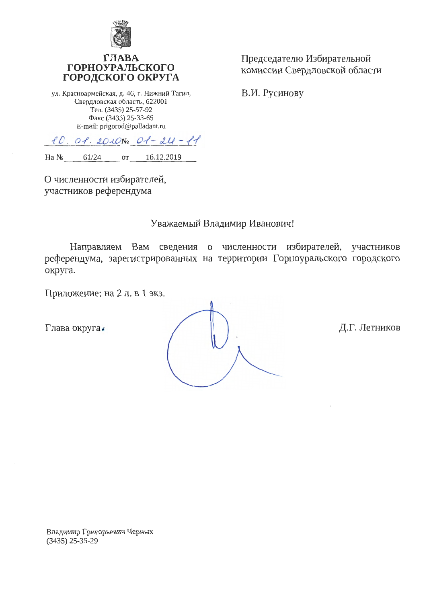

## ГЛАЕ **ГОРНОУРАЛЬСКОГО** ГОРОДСКОГО ОКРУГА

ул. Красноармейская, д. 46, г. Нижний Тагил, Свердловская область, 622001 Тел. (3435) 25-57-92 Факс (3435) 25-33-65 E-mail: prigorod@palladant.ru

Председателю Избирательной комиссии Свердловской области

В.И. Русинову

 $10.01.2010N_201-24-11$  $Ha N_2$  61/24 16.12.2019 OT<sub>1</sub>

О численности избирателей, участников референдума

## Уважаемый Владимир Иванович!

Направляем Вам сведения о численности избирателей, участников референдума, зарегистрированных на территории Горноуральского городского округа.

Приложение: на 2 л. в 1 экз.

Глава округа.

Д.Г. Летников

Владимир Григорьевич Черных  $(3435)$  25-35-29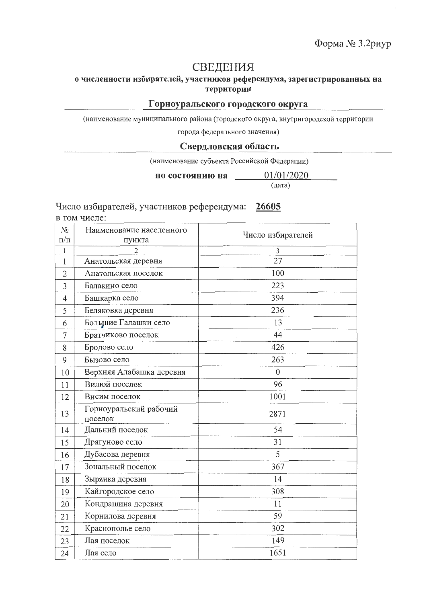# СВЕДЕНИЯ

### о численности избирателей, участников референдума, зарегистрированных на территории

## Горноуральского городского округа

(наименование муниципального района (городского округа, внутригородской территории

города федерального значения)

#### Свердловская область

(наименование субъекта Российской Федерации)

по состоянию на  $\qquad 01/01/2020$ 

(дата)

Число избирателей, участников референдума: 26605

в том числе:

| $N_2$<br>$\Pi/\Pi$ | Наименование населенного<br>пункта | Число избирателей |
|--------------------|------------------------------------|-------------------|
| 1                  | $\overline{2}$                     | 3                 |
| 1                  | Анатольская деревня                | 27                |
| $\overline{2}$     | Анатольская поселок                | 100               |
| 3                  | Балакино село                      | 223               |
| 4                  | Башкарка село                      | 394               |
| 5                  | Беляковка деревня                  | 236               |
| 6                  | Большие Галашки село               | 13                |
| 7                  | Братчиково поселок                 | 44                |
| 8                  | Бродово село                       | 426               |
| 9                  | Бызово село                        | 263               |
| 10                 | Верхняя Алабашка деревня           | $\theta$          |
| 11                 | Вилюй поселок                      | 96                |
| 12                 | Висим поселок                      | 1001              |
| 13                 | Горноуральский рабочий<br>поселок  | 2871              |
| 14                 | Дальний поселок                    | 54                |
| 15                 | Дрягуново село                     | 31                |
| 16                 | Дубасова деревня                   | 5                 |
| 17                 | Зональный поселок                  | 367               |
| 18                 | Зырянка деревня                    | 14                |
| 19                 | Кайгородское село                  | 308               |
| 20                 | Кондрашина деревня                 | 11                |
| 21                 | Корнилова деревня                  | 59                |
| 22                 | Краснополье село                   | 302               |
| 23                 | Лая поселок                        | 149               |
| 24                 | Лая село                           | 1651              |